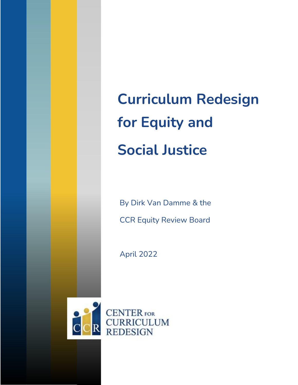**Curriculum Redesign for Equity and Social Justice**

By Dirk Van Damme & the CCR Equity Review Board

April 2022



**CENTER** FOR **CURRICULUM REDESIGN**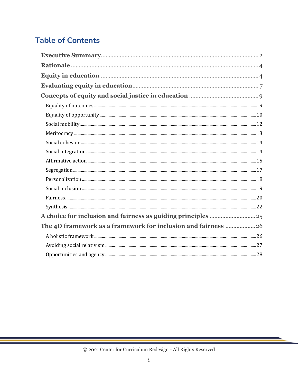# **Table of Contents**

| The 4D framework as a framework for inclusion and fairness  26 |  |
|----------------------------------------------------------------|--|
|                                                                |  |
|                                                                |  |
|                                                                |  |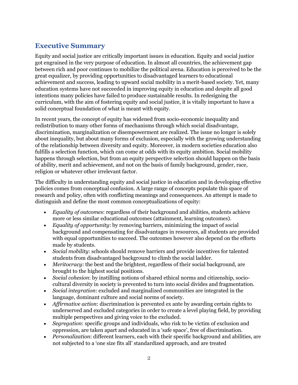# <span id="page-2-0"></span>**Executive Summary**

Equity and social justice are critically important issues in education. Equity and social justice got engrained in the very purpose of education. In almost all countries, the achievement gap between rich and poor continues to mobilize the political arena. Education is perceived to be the great equalizer, by providing opportunities to disadvantaged learners to educational achievement and success, leading to upward social mobility in a merit-based society. Yet, many education systems have not succeeded in improving equity in education and despite all good intentions many policies have failed to produce sustainable results. In redesigning the curriculum, with the aim of fostering equity and social justice, it is vitally important to have a solid conceptual foundation of what is meant with equity.

In recent years, the concept of equity has widened from socio-economic inequality and redistribution to many other forms of mechanisms through which social disadvantage, discrimination, marginalization or disempowerment are realized. The issue no longer is solely about inequality, but about many forms of exclusion, especially with the growing understanding of the relationship between diversity and equity. Moreover, in modern societies education also fulfills a selection function, which can come at odds with its equity ambition. Social mobility happens through selection, but from an equity perspective selection should happen on the basis of ability, merit and achievement, and not on the basis of family background, gender, race, religion or whatever other irrelevant factor.

The difficulty in understanding equity and social justice in education and in developing effective policies comes from conceptual confusion. A large range of concepts populate this space of research and policy, often with conflicting meanings and consequences. An attempt is made to distinguish and define the most common conceptualizations of equity:

- *Equality of outcomes*: regardless of their background and abilities, students achieve more or less similar educational outcomes (attainment, learning outcomes).
- *Equality of opportunity*: by removing barriers, minimizing the impact of social background and compensating for disadvantages in resources, all students are provided with equal opportunities to succeed. The outcomes however also depend on the efforts made by students.
- *Social mobility*: schools should remove barriers and provide incentives for talented students from disadvantaged background to climb the social ladder.
- *Meritocracy:* the best and the brightest, regardless of their social background, are brought to the highest social positions.
- *Social cohesion*: by instilling notions of shared ethical norms and citizenship, sociocultural diversity in society is prevented to turn into social divides and fragmentation.
- *Social integration*: excluded and marginalized communities are integrated in the language, dominant culture and social norms of society.
- *Affirmative action*: discrimination is prevented ex ante by awarding certain rights to underserved and excluded categories in order to create a level playing field, by providing multiple perspectives and giving voice to the excluded.
- *Segregation*: specific groups and individuals, who risk to be victim of exclusion and oppression, are taken apart and educated in a 'safe space', free of discrimination.
- *Personalization*: different learners, each with their specific background and abilities, are not subjected to a 'one size fits all' standardized approach, and are treated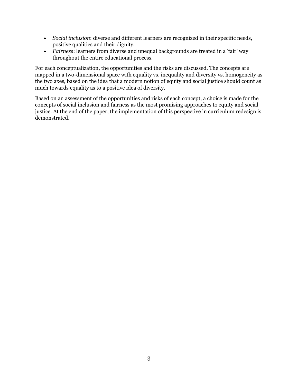- *Social inclusion*: diverse and different learners are recognized in their specific needs, positive qualities and their dignity.
- *Fairness*: learners from diverse and unequal backgrounds are treated in a 'fair' way throughout the entire educational process.

For each conceptualization, the opportunities and the risks are discussed. The concepts are mapped in a two-dimensional space with equality vs. inequality and diversity vs. homogeneity as the two axes, based on the idea that a modern notion of equity and social justice should count as much towards equality as to a positive idea of diversity.

Based on an assessment of the opportunities and risks of each concept, a choice is made for the concepts of social inclusion and fairness as the most promising approaches to equity and social justice. At the end of the paper, the implementation of this perspective in curriculum redesign is demonstrated.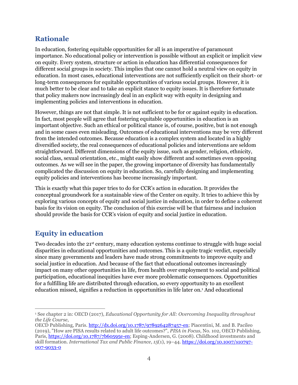## <span id="page-4-0"></span>**Rationale**

In education, fostering equitable opportunities for all is an imperative of paramount importance. No educational policy or intervention is possible without an explicit or implicit view on equity. Every system, structure or action in education has differential consequences for different social groups in society. This implies that one cannot hold a neutral view on equity in education. In most cases, educational interventions are not sufficiently explicit on their short- or long-term consequences for equitable opportunities of various social groups. However, it is much better to be clear and to take an explicit stance to equity issues. It is therefore fortunate that policy makers now increasingly deal in an explicit way with equity in designing and implementing policies and interventions in education.

However, things are not that simple. It is not sufficient to be for or against equity in education. In fact, most people will agree that fostering equitable opportunities in education is an important objective. Such an ethical or political stance is, of course, positive, but is not enough and in some cases even misleading. Outcomes of educational interventions may be very different from the intended outcomes. Because education is a complex system and located in a highly diversified society, the real consequences of educational policies and interventions are seldom straightforward. Different dimensions of the equity issue, such as gender, religion, ethnicity, social class, sexual orientation, etc., might easily show different and sometimes even opposing outcomes. As we will see in the paper, the growing importance of diversity has fundamentally complicated the discussion on equity in education. So, carefully designing and implementing equity policies and interventions has become increasingly important.

This is exactly what this paper tries to do for CCR's action in education. It provides the conceptual groundwork for a sustainable view of the Center on equity. It tries to achieve this by exploring various concepts of equity and social justice in education, in order to define a coherent basis for its vision on equity. The conclusion of this exercise will be that fairness and inclusion should provide the basis for CCR's vision of equity and social justice in education.

# <span id="page-4-1"></span>**Equity in education**

Two decades into the 21<sup>st</sup> century, many education systems continue to struggle with huge social disparities in educational opportunities and outcomes. This is a quite tragic verdict, especially since many governments and leaders have made strong commitments to improve equity and social justice in education. And because of the fact that educational outcomes increasingly impact on many other opportunities in life, from health over employment to social and political participation, educational inequities have ever more problematic consequences. Opportunities for a fulfilling life are distributed through education, so every opportunity to an excellent education missed, signifies a reduction in opportunities in life later on.<sup>1</sup> And educational

<sup>1</sup> See chapter 2 in: OECD (2017), *Educational Opportunity for All: Overcoming Inequality throughout the Life Course*,

OECD Publishing, Paris. [http://dx.doi.org/10.1787/9789264287457-en;](http://dx.doi.org/10.1787/9789264287457-en) Piacentini, M. and B. Pacileo (2019), "How are PISA results related to adult life outcomes?", *PISA in Focus*, No. 102, OECD Publishing, Paris, [https://doi.org/10.1787/7b60595e-en;](https://doi.org/10.1787/7b60595e-en) Esping-Andersen, G. (2008). Childhood investments and skill formation. *International Tax and Public Finance*, *15*(1), 19–44. [https://doi.org/10.1007/s10797-](https://doi.org/10.1007/s10797-007-9033-0) [007-9033-0](https://doi.org/10.1007/s10797-007-9033-0)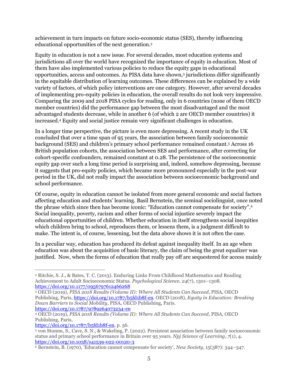achievement in turn impacts on future socio-economic status (SES), thereby influencing educational opportunities of the next generation.<sup>2</sup>

Equity in education is not a new issue. For several decades, most education systems and jurisdictions all over the world have recognized the importance of equity in education. Most of them have also implemented various policies to reduce the equity gaps in educational opportunities, access and outcomes. As PISA data have shown,<sup>3</sup> jurisdictions differ significantly in the equitable distribution of learning outcomes. These differences can be explained by a wide variety of factors, of which policy interventions are one category. However, after several decades of implementing pro-equity policies in education, the overall results do not look very impressive. Comparing the 2009 and 2018 PISA cycles for reading, only in 6 countries (none of them OECD member countries) did the performance gap between the most disadvantaged and the most advantaged students decrease, while in another 6 (of which 2 are OECD member countries) it increased.<sup>4</sup> Equity and social justice remain very significant challenges in education.

In a longer time perspective, the picture is even more depressing. A recent study in the UK concluded that over a time span of 95 years, the association between family socioeconomic background (SES) and children's primary school performance remained constant.<sup>5</sup> Across 16 British population cohorts, the association between SES and performance, after correcting for cohort-specific confounders, remained constant at 0.28. The persistence of the socioeconomic equity gap over such a long time period is surprising and, indeed, somehow depressing, because it suggests that pro-equity policies, which became more pronounced especially in the post-war period in the UK, did not really impact the association between socioeconomic background and school performance.

Of course, equity in education cannot be isolated from more general economic and social factors affecting education and students' learning. Basil Bernstein, the seminal sociolinguist, once noted the phrase which since then has become iconic: "Education cannot compensate for society".<sup>6</sup> Social inequality, poverty, racism and other forms of social injustice severely impact the educational opportunities of children. Whether education in itself strengthens social inequities which children bring to school, reproduces them, or lessens them, is a judgment difficult to make. The intent is, of course, lessening, but the data above shows it is not often the case.

In a peculiar way, education has produced its defeat against inequality itself. In an age when education was about the acquisition of basic literacy, the claim of being the great equalizer was justified. Now, when the forms of education that really pay off are sequestered for access mainly

<sup>2</sup> Ritchie, S. J., & Bates, T. C. (2013). Enduring Links From Childhood Mathematics and Reading Achievement to Adult Socioeconomic Status. *Psychological Science*, *24*(7), 1301–1308. <https://doi.org/10.1177/0956797612466268>

<sup>3</sup> OECD (2019), *PISA 2018 Results (Volume II): Where All Students Can Succeed*, PISA, OECD Publishing, Paris, [https://doi.org/10.1787/b5fd1b8f-en.](https://doi.org/10.1787/b5fd1b8f-en) OECD (2018), *Equity in Education: Breaking Down Barriers to Social Mobility*, PISA, OECD Publishing, Paris. <https://doi.org/10.1787/9789264073234-en>

<sup>4</sup> OECD (2019), *PISA 2018 Results (Volume II): Where All Students Can Succeed*, PISA, OECD Publishing, Paris,

[https://doi.org/10.1787/b5fd1b8f-en,](https://doi.org/10.1787/b5fd1b8f-en) p. 56.

<sup>5</sup> von Stumm, S., Cave, S. N., & Wakeling, P. (2022). Persistent association between family socioeconomic status and primary school performance in Britain over 95 years. *Npj Science of Learning*, *7*(1), 4. <https://doi.org/10.1038/s41539-022-00120-3>

<sup>6</sup> Bernstein, B. (1970), 'Education cannot compensate for society', *New Society*, 15(387): 344–347.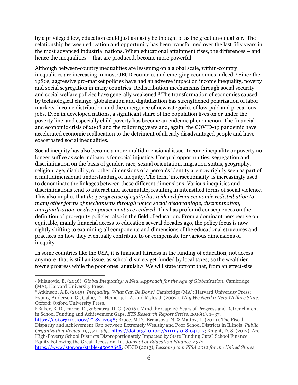by a privileged few, education could just as easily be thought of as the great un-equalizer. The relationship between education and opportunity has been transformed over the last fifty years in the most advanced industrial nations. When educational attainment rises, the differences – and hence the inequalities – that are produced, become more powerful.

Although between-country inequalities are lessening on a global scale, within-country inequalities are increasing in most OECD countries and emerging economies indeed. <sup>7</sup> Since the 1980s, aggressive pro-market policies have had an adverse impact on income inequality, poverty and social segregation in many countries. Redistribution mechanisms through social security and social welfare policies have generally weakened.<sup>8</sup> The transformation of economies caused by technological change, globalization and digitalization has strengthened polarization of labor markets, income distribution and the emergence of new categories of low-paid and precarious jobs. Even in developed nations, a significant share of the population lives on or under the poverty line, and especially child poverty has become an endemic phenomenon. The financial and economic crisis of 2008 and the following years and, again, the COVID-19 pandemic have accelerated economic reallocation to the detriment of already disadvantaged people and have exacerbated social inequalities.

Social inequity has also become a more multidimensional issue. Income inequality or poverty no longer suffice as sole indicators for social injustice. Unequal opportunities, segregation and discrimination on the basis of gender, race, sexual orientation, migration status, geography, religion, age, disability, or other dimensions of a person's identity are now rightly seen as part of a multidimensional understanding of inequity. The term 'intersectionality' is increasingly used to denominate the linkages between these different dimensions. Various inequities and discriminations tend to interact and accumulate, resulting in intensified forms of social violence. This also implies that *the perspective of equity has widened from economic redistribution to many other forms of mechanisms through which social disadvantage, discrimination, marginalization, or disempowerment are realized*. This has profound consequences on the definition of pro-equity policies, also in the field of education. From a dominant perspective on equitable, mainly financial access to education several decades ago, the policy focus is now rightly shifting to examining all components and dimensions of the educational structures and practices on how they eventually contribute to or compensate for various dimensions of inequity.

In some countries like the USA, it is financial fairness in the funding of education, not access anymore, that is still an issue, as school districts get funded by local taxes; so the wealthier towns progress while the poor ones languish.<sup>9</sup> We will state upfront that, from an effect-size

<sup>7</sup> Milanovic, B. (2016), *Global Inequality: A New Approach for the Age of Globalization*. Cambridge (MA), Harvard University Press.

<sup>8</sup> Atkinson, A.B. (2015), *Inequality. What Can Be Done?* Cambridge (MA): Harvard University Press; Esping-Andersen, G., Gallie, D., Hemerijck, A. and Myles J. (2002). *Why We Need a New Welfare State*. Oxford: Oxford University Press.

<sup>9</sup> Baker, B. D., Farrie, D., & Sciarra, D. G. (2016). Mind the Gap: 20 Years of Progress and Retrenchment in School Funding and Achievement Gaps. *ETS Research Report Series*, *2016*(1), 1–37.

[https://doi.org/10.1002/ETS2.12098;](https://doi.org/10.1002/ETS2.12098) Bruce, M.D., Ermasova, N. & Mattox, L. (2019). The Fiscal Disparity and Achievement Gap between Extremely Wealthy and Poor School Districts in Illinois. *Public Organization Review* 19**,** 541–565[. https://doi.org/10.1007/s11115-018-0417-7;](https://doi.org/10.1007/s11115-018-0417-7) Knight, D. S. (2017). Are High-Poverty School Districts Disproportionately Impacted by State Funding Cuts? School Finance Equity Following the Great Recession. In*: Journal of Education Finance.* 43/2.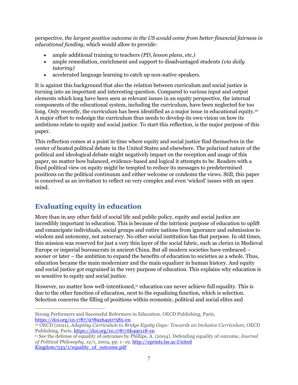perspective, *the largest positive outcome in the US would come from better financial fairness in educational funding,* which would allow to provide:

- ample additional training to teachers *(PD, lesson plans, etc.)*
- ample remediation, enrichment and support to disadvantaged students *(via daily tutoring)*
- accelerated language learning to catch up non-native speakers.

It is against this background that also the relation between curriculum and social justice is turning into an important and interesting question. Compared to various input and output elements which long have been seen as relevant issues in an equity perspective, the internal components of the educational system, including the curriculum, have been neglected for too long. Only recently, the curriculum has been identified as a major issue in educational equity.<sup>10</sup> A major effort to redesign the curriculum thus needs to develop its own vision on how its ambitions relate to equity and social justice. To start this reflection, is the major purpose of this paper.

This reflection comes at a point in time where equity and social justice find themselves in the center of heated political debate in the United States and elsewhere. The polarized nature of the political and ideological debate might negatively impact on the reception and usage of this paper, no matter how balanced, evidence-based and logical it attempts to be. Readers with a fixed political view on equity might be tempted to reduce its messages to predetermined positions on the political continuum and either welcome or condemn the views. Still, this paper is conceived as an invitation to reflect on very complex and even 'wicked' issues with an open mind.

# <span id="page-7-0"></span>**Evaluating equity in education**

More than in any other field of social life and public policy, equity and social justice are incredibly important in education. This is because of the intrinsic purpose of education to uplift and emancipate individuals, social groups and entire nations from ignorance and submission to wisdom and autonomy, not autocracy. No other social institution has that purpose. In old times, this mission was reserved for just a very thin layer of the social fabric, such as clerics in Medieval Europe or imperial bureaucrats in ancient China. But all modern societies have embraced – sooner or later – the ambition to expand the benefits of education to societies as a whole. Thus, education became the main modernizer and the main equalizer in human history. And equity and social justice got engrained in the very purpose of education. This explains why education is so sensitive to equity and social justice.

However, no matter how well-intentioned, $11$  education can never achieve full equality. This is due to the other function of education, next to the equalizing function, which is selection. Selection concerns the filling of positions within economic, political and social elites and

Strong Performers and Successful Reformers in Education, OECD Publishing, Paris, [https://doi.org/10.1787/9789264207585-en.](https://doi.org/10.1787/9789264207585-en)

<sup>10</sup> OECD (2021), *Adapting Curriculum to Bridge Equity Gaps: Towards an Inclusive Curriculum*, OECD Publishing, Paris,<https://doi.org/10.1787/6b49e118-en>

<sup>11</sup> See the defense of equality of outcomes by Phillips, A. (2004). Defending equality of outcome, *Journal of Political Philosophy*, 12/1, 2004, pp. 1–19. [http://eprints.lse.ac.United](http://eprints.lse.ac.uk/533/1/equality_of_outcome.pdf)  Kingdom/533/1/equality of outcome.pdf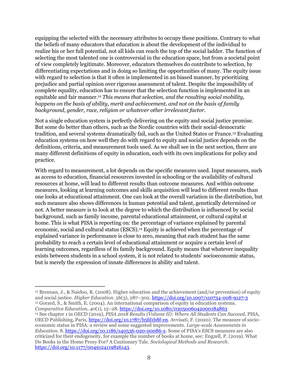equipping the selected with the necessary attributes to occupy these positions. Contrary to what the beliefs of many educators that education is about the development of the individual to realize his or her full potential, not all kids can reach the top of the social ladder. The function of selecting the most talented one is controversial in the education space, but from a societal point of view completely legitimate. Moreover, educators themselves do contribute to selection, by differentiating expectations and in doing so limiting the opportunities of many. The equity issue with regard to selection is that it often is implemented in an biased manner, by prioritizing prejudice and partial opinion over rigorous assessment of talent. Despite the impossibility of complete equality, education has to ensure that the selection function is implemented in an equitable and fair manner.<sup>12</sup> *This means that selection, and the resulting social mobility, happens on the basis of ability, merit and achievement, and not on the basis of family background, gender, race, religion or whatever other irrelevant factor*.

Not a single education system is perfectly delivering on the equity and social justice promise. But some do better than others, such as the Nordic countries with their social-democratic tradition, and several systems dramatically fail, such as the United States or France.<sup>13</sup> Evaluating education systems on how well they do with regard to equity and social justice depends on the definitions, criteria, and measurement tools used. As we shall see in the next section, there are many different definitions of equity in education, each with its own implications for policy and practice.

With regard to measurement, a lot depends on the specific measures used. Input measures, such as access to education, financial resources invested in schooling or the availability of cultural resources at home, will lead to different results than outcome measures. And within outcome measures, looking at learning outcomes and skills acquisition will lead to different results than one looks at educational attainment. One can look at the overall variation in the distribution, but such measure also shows differences in human potential and talent, genetically determined or not. A better measure is to look at the degree to which the distribution is influenced by social background, such as family income, parental educational attainment, or cultural capital at home. This is what PISA is reporting on: the percentage of variance explained by parental economic, social and cultural status (ESCS).<sup>14</sup> Equity is achieved when the percentage of explained variance in performance is close to zero, meaning that each student has the same probability to reach a certain level of educational attainment or acquire a certain level of learning outcomes, regardless of its family background. Equity means that whatever inequality exists between students in a school system, it is not related to students' socioeconomic status, but is merely the expression of innate differences in ability and talent.

<sup>12</sup> Brennan, J., & Naidoo, R. (2008). Higher education and the achievement (and/or prevention) of equity and social justice. *Higher Education.* 56(3), 287–302.<https://doi.org/10.1007/s10734-008-9127-3> <sup>13</sup> Gorard, S., & Smith, E. (2004). An international comparison of equity in education systems. *Comparative Education*, *40*(1), 15–28.<https://doi.org/10.1080/0305006042000184863>

<sup>14</sup> See chapter 1 in OECD (2019), *PISA 2018 Results (Volume II): Where All Students Can Succeed*, PISA, OECD Publishing, Paris, [https://doi.org/10.1787/b5fd1b8f-en.](https://doi.org/10.1787/b5fd1b8f-en) Avvisati, F. (2020). The measure of socioeconomic status in PISA: a review and some suggested improvements. *Large-scale Assessments in Education*. 8. [https://doi.org/10.1186/s40536-020-00086-x.](https://doi.org/10.1186/s40536-020-00086-x) Some of PISA's ESCS measures are also criticized for their endogeneity, for example the number of books at home, see: Engzell, P. (2019). What Do Books in the Home Proxy For? A Cautionary Tale. *Sociological Methods and Research*. [https://doi.org/10.1177/0049124119826143.](https://doi.org/10.1177/0049124119826143)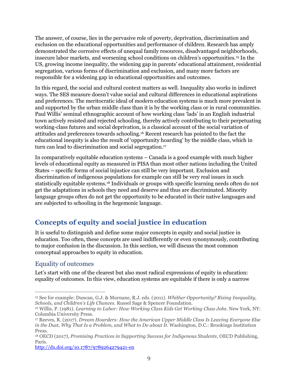The answer, of course, lies in the pervasive role of poverty, deprivation, discrimination and exclusion on the educational opportunities and performance of children. Research has amply demonstrated the corrosive effects of unequal family resources, disadvantaged neighborhoods, insecure labor markets, and worsening school conditions on children's opportunities.<sup>15</sup> In the US, growing income inequality, the widening gap in parents' educational attainment, residential segregation, various forms of discrimination and exclusion, and many more factors are responsible for a widening gap in educational opportunities and outcomes.

In this regard, the social and cultural context matters as well. Inequality also works in indirect ways. The SES measure doesn't value social and cultural differences in educational aspirations and preferences. The meritocratic ideal of modern education systems is much more prevalent in and supported by the urban middle class than it is by the working class or in rural communities. Paul Willis' seminal ethnographic account of how working class 'lads' in an English industrial town actively resisted and rejected schooling, thereby actively contributing to their perpetuating working-class futures and social deprivation, is a classical account of the social variation of attitudes and preferences towards schooling.<sup>16</sup> Recent research has pointed to the fact the educational inequity is also the result of 'opportunity hoarding' by the middle class, which in turn can lead to discrimination and social segregation.<sup>17</sup>

In comparatively equitable education systems – Canada is a good example with much higher levels of educational equity as measured in PISA than most other nations including the United States – specific forms of social injustice can still be very important. Exclusion and discrimination of indigenous populations for example can still be very real issues in such statistically equitable systems.<sup>18</sup> Individuals or groups with specific learning needs often do not get the adaptations in schools they need and deserve and thus are discriminated. Minority language groups often do not get the opportunity to be educated in their native languages and are subjected to schooling in the hegemonic language.

## <span id="page-9-0"></span>**Concepts of equity and social justice in education**

It is useful to distinguish and define some major concepts in equity and social justice in education. Too often, these concepts are used indifferently or even synonymously, contributing to major confusion in the discussion. In this section, we will discuss the most common conceptual approaches to equity in education.

#### <span id="page-9-1"></span>Equality of outcomes

Let's start with one of the clearest but also most radical expressions of equity in education: equality of outcomes. In this view, education systems are equitable if there is only a narrow

<http://dx.doi.org/10.1787/9789264279421-en>

<sup>15</sup> See for example: Duncan, G.J. & Murnane, R.J. eds. (2011). *Whither Opportunity? Rising Inequality, Schools, and Children's Life Chances*. Russel Sage & Spencer Foundation.

<sup>16</sup> Willis, P. (1981). *Learning to Labor: How Working Class Kids Get Working Class Jobs*. New York, NY: Columbia University Press.

<sup>17</sup> Reeves, R. (2017). *Dream Hoarders: How the American Upper Middle Class Is Leaving Everyone Else in the Dust, Why That Is a Problem, and What to Do about It.* Washington, D.C.: Brookings Institution Press.

<sup>18</sup> OECD (2017), *Promising Practices in Supporting Success for Indigenous Students*, OECD Publishing, Paris.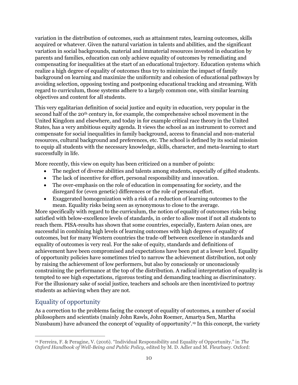variation in the distribution of outcomes, such as attainment rates, learning outcomes, skills acquired or whatever. Given the natural variation in talents and abilities, and the significant variation in social backgrounds, material and immaterial resources invested in education by parents and families, education can only achieve equality of outcomes by remediating and compensating for inequalities at the start of an educational trajectory. Education systems which realize a high degree of equality of outcomes thus try to minimize the impact of family background on learning and maximize the uniformity and cohesion of educational pathways by avoiding selection, opposing testing and postponing educational tracking and streaming. With regard to curriculum, those systems adhere to a largely common one, with similar learning objectives and content for all students.

This very egalitarian definition of social justice and equity in education, very popular in the second half of the 20<sup>th</sup> century in, for example, the comprehensive school movement in the United Kingdom and elsewhere, and today in for example critical race theory in the United States, has a very ambitious equity agenda. It views the school as an instrument to correct and compensate for social inequalities in family background, access to financial and non-material resources, cultural background and preferences, etc. The school is defined by its social mission to equip all students with the necessary knowledge, skills, character, and meta-learning to start successfully in life.

More recently, this view on equity has been criticized on a number of points:

- The neglect of diverse abilities and talents among students, especially of gifted students.
- The lack of incentive for effort, personal responsibility and innovation.
- The over-emphasis on the role of education in compensating for society, and the disregard for (even genetic) differences or the role of personal effort.
- Exaggerated homogenization with a risk of a reduction of learning outcomes to the mean. Equality risks being seen as synonymous to close to the average.

More specifically with regard to the curriculum, the notion of equality of outcomes risks being satisfied with below-excellence levels of standards, in order to allow most if not all students to reach them. PISA-results has shown that some countries, especially, Eastern Asian ones, are successful in combining high levels of learning outcomes with high degrees of equality of outcomes, but for many Western countries the trade-off between excellence in standards and equality of outcomes is very real. For the sake of equity, standards and definitions of achievement have been compromised and expectations have been put at a lower level. Equality of opportunity policies have sometimes tried to narrow the achievement distribution, not only by raising the achievement of low performers, but also by consciously or unconsciously constraining the performance at the top of the distribution. A radical interpretation of equality is tempted to see high expectations, rigorous testing and demanding teaching as discriminatory. For the illusionary sake of social justice, teachers and schools are then incentivized to portray students as achieving when they are not.

## <span id="page-10-0"></span>Equality of opportunity

As a correction to the problems facing the concept of equality of outcomes, a number of social philosophers and scientists (mainly John Rawls, John Roemer, Amartya Sen, Martha Nussbaum) have advanced the concept of 'equality of opportunity'.<sup>19</sup> In this concept, the variety

<sup>19</sup> Ferreira, F. & Peragine, V. (2016). "Individual Responsibility and Equality of Opportunity." in *The Oxford Handbook of Well-Being and Public Policy*, edited by M. D. Adler and M. Fleurbaey. Oxford: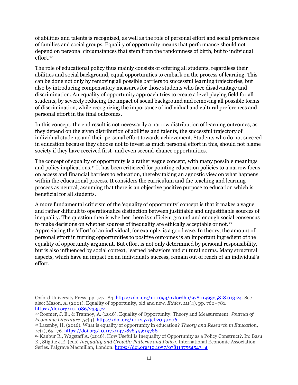of abilities and talents is recognized, as well as the role of personal effort and social preferences of families and social groups. Equality of opportunity means that performance should not depend on personal circumstances that stem from the randomness of birth, but to individual effort.<sup>20</sup>

The role of educational policy thus mainly consists of offering all students, regardless their abilities and social background, equal opportunities to embark on the process of learning. This can be done not only by removing all possible barriers to successful learning trajectories, but also by introducing compensatory measures for those students who face disadvantage and discrimination. An equality of opportunity approach tries to create a level playing field for all students, by severely reducing the impact of social background and removing all possible forms of discrimination, while recognizing the importance of individual and cultural preferences and personal effort in the final outcomes.

In this concept, the end result is not necessarily a narrow distribution of learning outcomes, as they depend on the given distribution of abilities and talents, the successful trajectory of individual students and their personal effort towards achievement. Students who do not succeed in education because they choose not to invest as much personal effort in this, should not blame society if they have received first- and even second-chance opportunities.

The concept of equality of opportunity is a rather vague concept, with many possible meanings and policy implications.<sup>21</sup> It has been criticized for pointing education policies to a narrow focus on access and financial barriers to education, thereby taking an agnostic view on what happens within the educational process. It considers the curriculum and the teaching and learning process as neutral, assuming that there is an objective positive purpose to education which is beneficial for all students.

A more fundamental criticism of the 'equality of opportunity' concept is that it makes a vague and rather difficult to operationalize distinction between justifiable and unjustifiable sources of inequality. The question then is whether there is sufficient ground and enough social consensus to make decisions on whether sources of inequality are ethically acceptable or not.<sup>22</sup> Appreciating the 'effort' of an individual, for example, is a good case. In theory, the amount of personal effort in turning opportunities to positive outcomes is an important ingredient of the equality of opportunity argument. But effort is not only determined by personal responsibility, but is also influenced by social context, learned behaviors and cultural norms. Many structural aspects, which have an impact on an individual's success, remain out of reach of an individual's effort.

Oxford University Press, pp. 747–84. [https://doi.org/10.1093/oxfordhb/9780199325818.013.24.](https://doi.org/10.1093/oxfordhb/9780199325818.013.24) See also: Mason, A. (2001). Equality of opportunity, old and new. *Ethics*, *111*(4), pp. 760–781. <https://doi.org/10.1086/233572>

<sup>20</sup> Roemer, J. E., & Trannoy, A. (2016). Equality of Opportunity: Theory and Measurement. *Journal of Economic Literature*, *54*(4).<https://doi.org/10.1257/jel.20151206>

<sup>21</sup> Lazenby, H. (2016). What is equality of opportunity in education? *Theory and Research in Education*, *14*(1), 65–76.<https://doi.org/10.1177/1477878515619788>

<sup>22</sup> Kanbur R., Wagstaff A. (2016). How Useful Is Inequality of Opportunity as a Policy Construct?. In: Basu K., Stiglitz J.E. (eds) *Inequality and Growth: Patterns and Policy*. International Economic Association Series. Palgrave Macmillan, London. [https://doi.org/10.1057/9781137554543\\_4](https://doi.org/10.1057/9781137554543_4)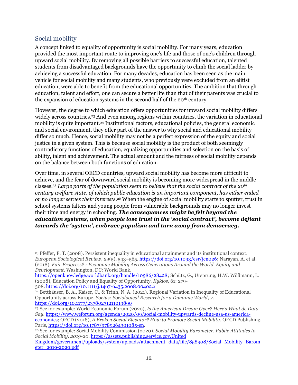## <span id="page-12-0"></span>Social mobility

A concept linked to equality of opportunity is social mobility. For many years, education provided the most important route to improving one's life and those of one's children through upward social mobility. By removing all possible barriers to successful education, talented students from disadvantaged backgrounds have the opportunity to climb the social ladder by achieving a successful education. For many decades, education has been seen as the main vehicle for social mobility and many students, who previously were excluded from an elitist education, were able to benefit from the educational opportunities. The ambition that through education, talent and effort, one can secure a better life than that of their parents was crucial to the expansion of education systems in the second half of the 20<sup>th</sup> century.

However, the degree to which education offers opportunities for upward social mobility differs widely across countries.<sup>23</sup> And even among regions within countries, the variation in educational mobility is quite important.<sup>24</sup> Institutional factors, educational policies, the general economic and social environment, they offer part of the answer to why social and educational mobility differ so much. Hence, social mobility may not be a perfect expression of the equity and social justice in a given system. This is because social mobility is the product of both seemingly contradictory functions of education, equalizing opportunities and selection on the basis of ability, talent and achievement. The actual amount and the fairness of social mobility depends on the balance between both functions of education.

Over time, in several OECD countries, upward social mobility has become more difficult to achieve, and the fear of downward social mobility is becoming more widespread in the middle classes*.* <sup>25</sup> *Large parts of the population seem to believe that the social contract of the 20th century welfare state, of which public education is an important component, has either ended or no longer serves their interests*. <sup>26</sup> When the engine of social mobility starts to sputter, trust in school systems falters and young people from vulnerable backgrounds may no longer invest their time and energy in schooling. *The consequences might be felt beyond the education systems, when people lose trust in the 'social contract', become defiant towards the 'system', embrace populism and turn away from democracy.*

<sup>23</sup> Pfeffer, F. T. (2008). Persistent inequality in educational attainment and its institutional context. *European Sociological Review*, *24*(5), 543–565[. https://doi.org/10.1093/esr/jcn026;](https://doi.org/10.1093/esr/jcn026) Narayan, A. et al. (2018). *Fair Progress? : Economic Mobility Across Generations Around the World. Equity and Development*. Washington, DC: World Bank.

[https://openknowledge.worldbank.org/handle/10986/28428;](https://openknowledge.worldbank.org/handle/10986/28428) Schütz, G., Ursprung, H.W. Wößmann, L. (2008), Education Policy and Equality of Opportunity. *Kyklos*, 61: 279- 308. <https://doi.org/10.1111/j.1467-6435.2008.00402.x>

<sup>24</sup> Betthäuser, B. A., Kaiser, C., & Trinh, N. A. (2021). Regional Variation in Inequality of Educational Opportunity across Europe. *Socius: Sociological Research for a Dynamic World*, *7*. <https://doi.org/10.1177/23780231211019890>

<sup>25</sup> See for example: World Economic Forum (2020), *Is the American Dream Over? Here's What de Data Say*. [https://www.weforum.org/agenda/2020/09/social-mobility-upwards-decline-usa-us-america](https://www.weforum.org/agenda/2020/09/social-mobility-upwards-decline-usa-us-america-economics)[economics;](https://www.weforum.org/agenda/2020/09/social-mobility-upwards-decline-usa-us-america-economics) OECD (2018), *A Broken Social Elevator? How to Promote Social Mobility*, OECD Publishing, Paris, [https://doi.org/10.1787/9789264301085-en.](https://doi.org/10.1787/9789264301085-en)

<sup>26</sup> See for example: Social Mobility Commission (2020), *Social Mobility Barometer. Public Attitudes to Social Mobility, 2019-20*. [https://assets.publishing.service.gov.United](https://assets.publishing.service.gov.uk/government/uploads/system/uploads/attachment_data/file/858908/Social_Mobility_Barometer_2019-2020.pdf) 

[Kingdom/government/uploads/system/uploads/attachment\\_data/file/858908/Social\\_Mobility\\_Barom](https://assets.publishing.service.gov.uk/government/uploads/system/uploads/attachment_data/file/858908/Social_Mobility_Barometer_2019-2020.pdf) [eter\\_2019-2020.pdf](https://assets.publishing.service.gov.uk/government/uploads/system/uploads/attachment_data/file/858908/Social_Mobility_Barometer_2019-2020.pdf)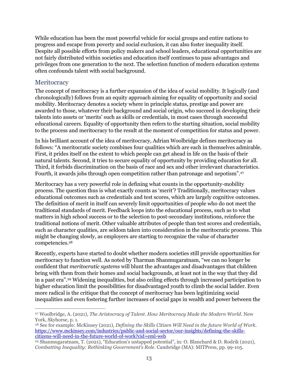While education has been the most powerful vehicle for social groups and entire nations to progress and escape from poverty and social exclusion, it can also foster inequality itself. Despite all possible efforts from policy makers and school leaders, educational opportunities are not fairly distributed within societies and education itself continues to pass advantages and privileges from one generation to the next. The selection function of modern education systems often confounds talent with social background.

#### <span id="page-13-0"></span>**Meritocracy**

The concept of meritocracy is a further expansion of the idea of social mobility. It logically (and chronologically) follows from an equity approach aiming for equality of opportunity and social mobility. Meritocracy denotes a society where in principle status, prestige and power are awarded to those, whatever their background and social origin, who succeed in developing their talents into assets or 'merits' such as skills or credentials, in most cases through successful educational careers. Equality of opportunity then refers to the starting situation, social mobility to the process and meritocracy to the result at the moment of competition for status and power.

In his brilliant account of the idea of meritocracy, Adrian Woolbridge defines meritocracy as follows: "A meritocratic society combines four qualities which are each in themselves admirable. First, it prides itself on the extent to which people can get ahead in life on the basis of their natural talents. Second, it tries to secure equality of opportunity by providing education for all. Third, it forbids discrimination on the basis of race and sex and other irrelevant characteristics. Fourth, it awards jobs through open competition rather than patronage and nepotism".<sup>27</sup>

Meritocracy has a very powerful role in defining what counts in the opportunity-mobility process. The question thus is what exactly counts as 'merit'? Traditionally, meritocracy values educational outcomes such as credentials and test scores, which are largely cognitive outcomes. The definition of merit in itself can severely limit opportunities of people who do not meet the traditional standards of merit. Feedback loops into the educational process, such as to what matters in high school success or to the selection to post-secondary institutions, reinforce the traditional notions of merit. Other valuable attributes of people than test scores and credentials, such as character qualities, are seldom taken into consideration in the meritocratic process. This might be changing slowly, as employers are starting to recognize the value of character competencies.<sup>28</sup>

Recently, experts have started to doubt whether modern societies still provide opportunities for meritocracy to function well. As noted by Tharman Shanmugaratnam, "we can no longer be confident that *meritocratic systems* will blunt the advantages and disadvantages that children bring with them from their homes and social backgrounds, at least not in the way that they did in a past era".<sup>29</sup> Widening inequalities, but also ceiling effects through increased participation to higher education limit the possibilities for disadvantaged youth to climb the social ladder. Even more radical is the critique that the concept of meritocracy has been legitimizing social inequalities and even fostering further increases of social gaps in wealth and power between the

<sup>27</sup> Woolbridge, A. (2021), *The Aristocracy of Talent. How Meritocracy Made the Modern World*. New York, Skyhorse, p. 1.

<sup>28</sup> See for example: McKinsey (2021), *Defining the Skills Citizen Will Need in the future World of Work.*  [https://www.mckinsey.com/industries/public-and-social-sector/our-insights/defining-the-skills](https://www.mckinsey.com/industries/public-and-social-sector/our-insights/defining-the-skills-citizens-will-need-in-the-future-world-of-work?cid=eml-web)[citizens-will-need-in-the-future-world-of-work?cid=eml-web](https://www.mckinsey.com/industries/public-and-social-sector/our-insights/defining-the-skills-citizens-will-need-in-the-future-world-of-work?cid=eml-web)

<sup>29</sup> Shanmugaratnam, T. (2021), "Education's untapped potential", in: O. Blanchard & D. Rodrik (2021), *Combatting Inequality: Rethinking Government's Role*. Cambridge (MA): MITPress, pp. 99-105.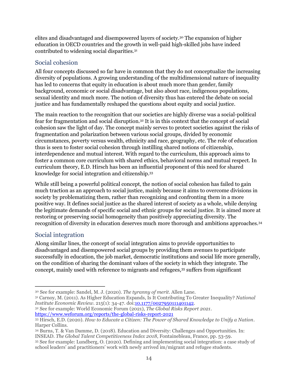elites and disadvantaged and disempowered layers of society.<sup>30</sup> The expansion of higher education in OECD countries and the growth in well-paid high-skilled jobs have indeed contributed to widening social disparities.<sup>31</sup>

#### <span id="page-14-0"></span>Social cohesion

All four concepts discussed so far have in common that they do not conceptualize the increasing diversity of populations. A growing understanding of the multidimensional nature of inequality has led to concerns that equity in education is about much more than gender, family background, economic or social disadvantage, but also about race, indigenous populations, sexual identity and much more. The notion of diversity thus has entered the debate on social justice and has fundamentally reshaped the questions about equity and social justice.

The main reaction to the recognition that our societies are highly diverse was a social-political fear for fragmentation and social disruption.<sup>32</sup> It is in this context that the concept of social cohesion saw the light of day. The concept mainly serves to protect societies against the risks of fragmentation and polarization between various social groups, divided by economic circumstances, poverty versus wealth, ethnicity and race, geography, etc. The role of education thus is seen to foster social cohesion through instilling shared notions of citizenship, interdependence and mutual interest. With regard to the curriculum, this approach aims to foster a common core curriculum with shared ethics, behavioral norms and mutual respect. In curriculum theory, E.D. Hirsch has been an influential proponent of this need for shared knowledge for social integration and citizenship.<sup>33</sup>

While still being a powerful political concept, the notion of social cohesion has failed to gain much traction as an approach to social justice, mainly because it aims to overcome divisions in society by problematizing them, rather than recognizing and confronting them in a more positive way. It defines social justice as the shared interest of society as a whole, while denying the legitimate demands of specific social and ethnic groups for social justice. It is aimed more at restoring or preserving social homogeneity than positively appreciating diversity. The recognition of diversity in education deserves much more thorough and ambitions approaches.<sup>34</sup>

## <span id="page-14-1"></span>Social integration

Along similar lines, the concept of social integration aims to provide opportunities to disadvantaged and disempowered social groups by providing them avenues to participate successfully in education, the job market, democratic institutions and social life more generally, on the condition of sharing the dominant values of the society in which they integrate. The concept, mainly used with reference to migrants and refugees,<sup>35</sup> suffers from significant

<sup>32</sup> See for example: World Economic Forum (2021), *The Global Risks Report 2021*. <https://www.weforum.org/reports/the-global-risks-report-2021>

<sup>30</sup> See for example: Sandel, M. J. (2020). *The tyranny of merit*. Allen Lane.

<sup>31</sup> Carnoy, M. (2011). As Higher Education Expands, Is It Contributing To Greater Inequality? *National Institute Economic Review*. 215(1): 34-47. doi[:10.1177/0027950111401142.](https://doi.org/10.1177/0027950111401142)

<sup>33</sup> Hirsch, E.D. (2020). *How to Educate a Citizen: The Power of Shared Knowledge to Unify a Nation*. Harper Collins.

<sup>34</sup> Burns, T. & Van Damme, D. (2018). Education and Diversity: Challenges and Opportunities. In: INSEAD. *The Global Talent Competitiveness Index 2018*, Fontainebleau, France, pp. 53-59.

<sup>35</sup> See for example: Lundberg, O. (2020). Defining and implementing social integration: a case study of school leaders' and practitioners' work with newly arrived im/migrant and refugee students.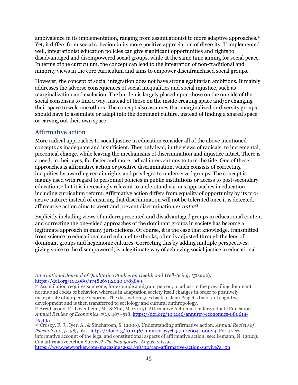ambivalence in its implementation, ranging from assimilationist to more adaptive approaches.<sup>36</sup> Yet, it differs from social cohesion in its more positive appreciation of diversity. If implemented well, integrationist education policies can give significant opportunities and rights to disadvantaged and disempowered social groups, while at the same time aiming for social peace. In terms of the curriculum, the concept can lead to the integration of non-traditional and minority views in the core curriculum and aims to empower disenfranchised social groups.

However, the concept of social integration does not have strong egalitarian ambitions. It mainly addresses the adverse consequences of social inequalities and social injustice, such as marginalization and exclusion. The burden is largely placed upon those on the outside of the social consensus to find a way, instead of those on the inside creating space and/or changing their space to welcome others. The concept also assumes that marginalized or diversity groups should have to assimilate or adapt into the dominant culture, instead of finding a shared space or carving out their own space.

## <span id="page-15-0"></span>Affirmative action

More radical approaches to social justice in education consider all of the above mentioned concepts as inadequate and insufficient. They only lead, in the views of radicals, to incremental, piecemeal change, while leaving the mechanisms of discrimination and injustice intact. There is a need, in their eyes, for faster and more radical interventions to turn the tide. One of these approaches is affirmative action or positive discrimination, which consists of correcting inequities by awarding certain rights and privileges to underserved groups. The concept is mainly used with regard to personnel policies in public institutions or access to post-secondary education,<sup>37</sup> but it is increasingly relevant to understand various approaches in education, including curriculum reform. Affirmative action differs from equality of opportunity by its proactive nature; instead of ensuring that discrimination will not be tolerated once it is detected, affirmative action aims to avert and prevent discrimination *ex ante*. 38

Explicitly including views of underrepresented and disadvantaged groups in educational content and correcting the one-sided approaches of the dominant groups in society has become a legitimate approach in many jurisdictions. Of course, it is the case that knowledge, transmitted from science to educational curricula and textbooks, often is adjusted through the lens of dominant groups and hegemonic cultures. Correcting this by adding multiple perspectives, giving voice to the disempowered, is a legitimate way of achieving social justice in educational

<sup>36</sup> Assimilation requires someone, for example a migrant person, to adjust to the prevailing dominant norms and codes of behavior, whereas in adaptation society itself changes in order to positively incorporate other people's norms. The distinction goes back to Jean Piaget's theory of cognitive development and is then transferred to sociology and cultural anthropology.

*International Journal of Qualitative Studies on Health and Well-Being*, *15*(sup2). <https://doi.org/10.1080/17482631.2020.1783859>

<sup>37</sup> Arcidiacono, P., Lovenheim, M., & Zhu, M. (2015). Affirmative Action in Undergraduate Education. *Annual Review of Economics*, *7*(1), 487–518. [https://doi.org/10.1146/annurev-economics-080614-](https://doi.org/10.1146/annurev-economics-080614-115445) [115445](https://doi.org/10.1146/annurev-economics-080614-115445)

<sup>38</sup> Crosby, F. J., Iyer, A., & Sincharoen, S. (2006). Understanding affirmative action. *Annual Review of Psychology*. 57, 585–611. [https://doi.org/10.1146/annurev.psych.57.102904.190029.](https://doi.org/10.1146/annurev.psych.57.102904.190029) For a very informative account of the legal and constitutional aspects of affirmative action, see: Lemann, N. (2021). Can affirmative Action Survive? *The Newyorker*. August 2 issue. <https://www.newyorker.com/magazine/2021/08/02/can-affirmative-action-survive?s=09>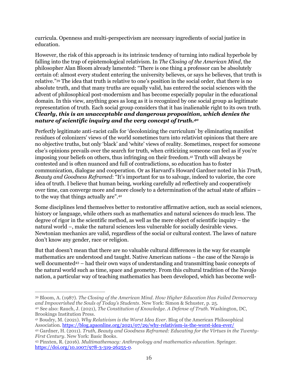curricula. Openness and multi-perspectivism are necessary ingredients of social justice in education.

However, the risk of this approach is its intrinsic tendency of turning into radical hyperbole by falling into the trap of epistemological relativism. In *The Closing of the American Mind*, the philosopher Alan Bloom already lamented: "There is one thing a professor can be absolutely certain of: almost every student entering the university believes, or says he believes, that truth is relative."<sup>39</sup> The idea that truth is relative to one's position in the social order, that there is no absolute truth, and that many truths are equally valid, has entered the social sciences with the advent of philosophical post-modernism and has become especially popular in the educational domain. In this view, anything goes as long as it is recognized by one social group as legitimate representation of truth. Each social group considers that it has inalienable right to its own truth. *Clearly, this is an unacceptable and dangerous proposition, which denies the nature of scientific inquiry and the very concept of truth.<sup>40</sup>*

Perfectly legitimate anti-racist calls for 'decolonizing the curriculum' by eliminating manifest residues of colonizers' views of the world sometimes turn into relativist opinions that there are no objective truths, but only 'black' and 'white' views of reality. Sometimes, respect for someone else's opinions prevails over the search for truth, when criticizing someone can feel as if you're imposing your beliefs on others, thus infringing on their freedom.<sup>41</sup> Truth will always be contested and is often nuanced and full of contradictions, so education has to foster communication, dialogue and cooperation. Or as Harvard's Howard Gardner noted in his *Truth, Beauty and Goodness Reframed*: "It's important for us to salvage, indeed to valorize, the core idea of truth. I believe that human being, working carefully ad reflectively and cooperatively over time, can converge more and more closely to a determination of the actual state of affairs – to the way that things actually are".<sup>42</sup>

Some disciplines lend themselves better to restorative affirmative action, such as social sciences, history or language, while others such as mathematics and natural sciences do much less. The degree of rigor in the scientific method, as well as the mere object of scientific inquiry – the natural world –, make the natural sciences less vulnerable for socially desirable views. Newtonian mechanics are valid, regardless of the social or cultural context. The laws of nature don't know any gender, race or religion.

But that doesn't mean that there are no valuable cultural differences in the way for example mathematics are understood and taught. Native American nations – the case of the Navajo is well documented<sup>43</sup> – had their own ways of understanding and transmitting basic concepts of the natural world such as time, space and geometry. From this cultural tradition of the Navajo nation, a particular way of teaching mathematics has been developed, which has become well-

<sup>39</sup> Bloom, A. (1987). *The Closing of the American Mind. How Higher Education Has Failed Democracy and Impoverished the Souls of Today's Students*. New York: Simon & Schuster, p. 25. <sup>40</sup> See also: Rauch, J. (2021), *The Constitution of Knowledge. A Defense of Truth.* Washington, DC,

Brookings Institution Press.

<sup>41</sup> Boudry, M. (2021). *Why Relativism is the Worst Idea Ever*. Blog of the American Philosophical Association.<https://blog.apaonline.org/2021/07/29/why-relativism-is-the-worst-idea-ever/>

<sup>42</sup> Gardner, H. (2011). *Truth, Beauty and Goodness Reframed: Educating for the Virtues in the Twenty-First Century*. New York: Basic Books.

<sup>43</sup> Pinxten, R. (2016). *Multimathemacy: Anthropology and mathematics education*. Springer. [https://doi.org/10.1007/978-3-319-26255-0.](https://doi.org/10.1007/978-3-319-26255-0)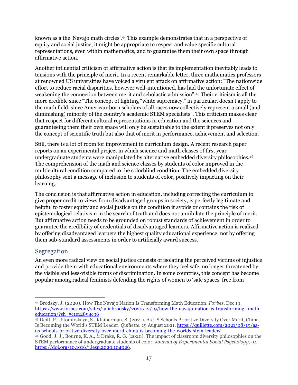known as a the 'Navajo math circles'.<sup>44</sup> This example demonstrates that in a perspective of equity and social justice, it might be appropriate to respect and value specific cultural representations, even within mathematics, and to guarantee them their own space through affirmative action.

Another influential criticism of affirmative action is that its implementation inevitably leads to tensions with the principle of merit. In a recent remarkable letter, three mathematics professors at renowned US universities have voiced a virulent attack on affirmative action: "The nationwide effort to reduce racial disparities, however well-intentioned, has had the unfortunate effect of weakening the connection between merit and scholastic admission".<sup>45</sup> Their criticism is all the more credible since "The concept of fighting "white supremacy," in particular, doesn't apply to the math field, since American-born scholars of all races now collectively represent a small (and diminishing) minority of the country's academic STEM specialists". This criticism makes clear that respect for different cultural representations in education and the sciences and guaranteeing them their own space will only be sustainable to the extent it preserves not only the concept of scientific truth but also that of merit in performance, achievement and selection.

Still, there is a lot of room for improvement in curriculum design. A recent research paper reports on an experimental project in which science and math classes of first year undergraduate students were manipulated by alternative embedded diversity philosophies.<sup>46</sup> The comprehension of the math and science classes by students of color improved in the multicultural condition compared to the colorblind condition. The embedded diversity philosophy sent a message of inclusion to students of color, positively impacting on their learning.

The conclusion is that affirmative action in education, including correcting the curriculum to give proper credit to views from disadvantaged groups in society, is perfectly legitimate and helpful to foster equity and social justice on the condition it avoids or contains the risk of epistemological relativism in the search of truth and does not annihilate the principle of merit. But affirmative action needs to be grounded on robust standards of achievement in order to guarantee the credibility of credentials of disadvantaged learners. Affirmative action is realized by offering disadvantaged learners the highest quality educational experience, not by offering them sub-standard assessments in order to artificially award success.

#### <span id="page-17-0"></span>Segregation

An even more radical view on social justice consists of isolating the perceived victims of injustice and provide them with educational environments where they feel safe, no longer threatened by the visible and less-visible forms of discrimination. In some countries, this concept has become popular among radical feminists defending the rights of women to 'safe spaces' free from

<sup>44</sup> Brodsky, J. (2020). How The Navajo Nation Is Transforming Math Education. *Forbes*. Dec 19. [https://www.forbes.com/sites/juliabrodsky/2020/12/19/how-the-navajo-nation-is-transforming--math](https://www.forbes.com/sites/juliabrodsky/2020/12/19/how-the-navajo-nation-is-transforming--math-education/?sh=5c1e12894c96)[education/?sh=5c1e12894c96](https://www.forbes.com/sites/juliabrodsky/2020/12/19/how-the-navajo-nation-is-transforming--math-education/?sh=5c1e12894c96)

<sup>45</sup> Deift, P., Jitomirskaya, S., Klainerman, S. (2021). As US Schools Prioritize Diversity Over Merit, China Is Becoming the World's STEM Leader. *Quillette.* 19 August 2021. [https://quillette.com/2021/08/19/as](https://quillette.com/2021/08/19/as-us-schools-prioritize-diversity-over-merit-china-is-becoming-the-worlds-stem-leader/)[us-schools-prioritize-diversity-over-merit-china-is-becoming-the-worlds-stem-leader/](https://quillette.com/2021/08/19/as-us-schools-prioritize-diversity-over-merit-china-is-becoming-the-worlds-stem-leader/)

<sup>46</sup> Good, J. J., Bourne, K. A., & Drake, R. G. (2020). The impact of classroom diversity philosophies on the STEM performance of undergraduate students of color. *Journal of Experimental Social Psychology*, *91*. [https://doi.org/10.1016/j.jesp.2020.104026.](https://doi.org/10.1016/j.jesp.2020.104026)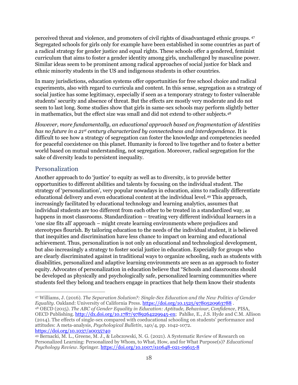perceived threat and violence, and promoters of civil rights of disadvantaged ethnic groups. <sup>47</sup> Segregated schools for girls only for example have been established in some countries as part of a radical strategy for gender justice and equal rights. These schools offer a gendered, feminist curriculum that aims to foster a gender identity among girls, unchallenged by masculine power. Similar ideas seem to be prominent among radical approaches of social justice for black and ethnic minority students in the US and indigenous students in other countries.

In many jurisdictions, education systems offer opportunities for free school choice and radical experiments, also with regard to curricula and content. In this sense, segregation as a strategy of social justice has some legitimacy, especially if seen as a temporary strategy to foster vulnerable students' security and absence of threat. But the effects are mostly very moderate and do not seem to last long. Some studies show that girls in same-sex schools may perform slightly better in mathematics, but the effect size was small and did not extend to other subjects.<sup>48</sup>

*However, more fundamentally, an educational approach based on fragmentation of identities has no future in a 21st century characterized by connectedness and interdependence*. It is difficult to see how a strategy of segregation can foster the knowledge and competencies needed for peaceful coexistence on this planet. Humanity is forced to live together and to foster a better world based on mutual understanding, not segregation. Moreover, radical segregation for the sake of diversity leads to persistent inequality.

#### <span id="page-18-0"></span>Personalization

Another approach to do 'justice' to equity as well as to diversity, is to provide better opportunities to different abilities and talents by focusing on the individual student. The strategy of 'personalization', very popular nowadays in education, aims to radically differentiate educational delivery and even educational content at the individual level.<sup>49</sup> This approach, increasingly facilitated by educational technology and learning analytics, assumes that individual students are too different from each other to be treated in a standardized way, as happens in most classrooms. Standardization – treating very different individual learners in a 'one size fits all' approach – might create learning environments where prejudices and stereotypes flourish. By tailoring education to the needs of the individual student, it is believed that inequities and discrimination have less chance to impact on learning and educational achievement. Thus, personalization is not only an educational and technological development, but also increasingly a strategy to foster social justice in education. Especially for groups who are clearly discriminated against in traditional ways to organize schooling, such as students with disabilities, personalized and adaptive learning environments are seen as an approach to foster equity. Advocates of personalization in education believe that "Schools and classrooms should be developed as physically and psychologically safe, personalized learning communities where students feel they belong and teachers engage in practices that help them know their students

<sup>47</sup> Williams, J. (2016). *The Separation Solution?: Single-Sex Education and the New Politics of Gender Equality*. Oakland: University of California Press.<https://doi.org/10.1525/9780520963788>. <sup>48</sup> OECD (2015). *The ABC of Gender Equality in Education: Aptitude, Behaviour, Confidence*, PISA,

OECD Publishing[. http://dx.doi.org/10.1787/9789264229945-en;](http://dx.doi.org/10.1787/9789264229945-en) Pahlke, E., J.S. Hyde and C.M. Allison (2014). The effects of single-sex compared with coeducational schooling on students' performance and attitudes: A meta-analysis, *Psychological Bulletin*, 140/4, pp. 1042-1072. [https://doi.org/10.1037/a0035740](https://doi.apa.org/doi/10.1037/a0035740)

<sup>49</sup> Bernacki, M. L., Greene, M. J., & Lobczowski, N. G. (2021). A Systematic Review of Research on Personalized Learning: Personalized by Whom, to What, How, and for What Purpose(s)? *Educational Psychology Review*. Springer.<https://doi.org/10.1007/s10648-021-09615-8>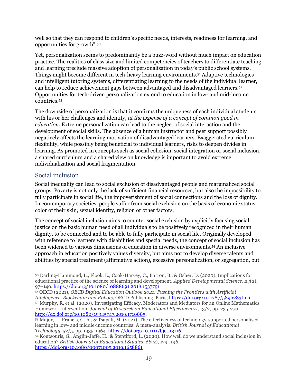well so that they can respond to children's specific needs, interests, readiness for learning, and opportunities for growth".<sup>50</sup>

Yet, personalization seems to predominantly be a buzz-word without much impact on education practice. The realities of class size and limited competencies of teachers to differentiate teaching and learning preclude massive adoption of personalization in today's public school systems. Things might become different in tech-heavy learning environments.<sup>51</sup> Adaptive technologies and intelligent tutoring systems, differentiating learning to the needs of the individual learner, can help to reduce achievement gaps between advantaged and disadvantaged learners.<sup>52</sup> Opportunities for tech-driven personalization extend to education in low- and mid-income countries.<sup>53</sup>

The downside of personalization is that it confirms the uniqueness of each individual students with his or her challenges and identity, *at the expense of a concept of common good in education*. Extreme personalization can lead to the neglect of social interaction and the development of social skills. The absence of a human instructor and peer support possibly negatively affects the learning motivation of disadvantaged learners. Exaggerated curriculum flexibility, while possibly being beneficial to individual learners, risks to deepen divides in learning. As promoted in concepts such as social cohesion, social integration or social inclusion, a shared curriculum and a shared view on knowledge is important to avoid extreme individualization and social fragmentation.

#### <span id="page-19-0"></span>Social inclusion

Social inequality can lead to social exclusion of disadvantaged people and marginalized social groups. Poverty is not only the lack of sufficient financial resources, but also the impossibility to fully participate in social life, the impoverishment of social connections and the loss of dignity. In contemporary societies, people suffer from social exclusion on the basis of economic status, color of their skin, sexual identity, religion or other factors.

The concept of social inclusion aims to counter social exclusion by explicitly focusing social justice on the basic human need of all individuals to be positively recognized in their human dignity, to be connected and to be able to fully participate in social life. Originally developed with reference to learners with disabilities and special needs, the concept of social inclusion has been widened to various dimensions of education in diverse environments.<sup>54</sup> An inclusive approach in education positively values diversity, but aims not to develop diverse talents and abilities by special treatment (affirmative action), excessive personalization, or segregation, but

<sup>50</sup> Darling-Hammond, L., Flook, L., Cook-Harvey, C., Barron, B., & Osher, D. (2020). Implications for educational practice of the science of learning and development. *Applied Developmental Science*, *24*(2), 97–140.<https://doi.org/10.1080/10888691.2018.1537791>

<sup>51</sup> OECD (2021), *OECD Digital Education Outlook 2021: Pushing the Frontiers with Artificial Intelligence, Blockchain and Robots*, OECD Publishing, Paris,<https://doi.org/10.1787/589b283f-en> <sup>52</sup> Murphy, R. et al. (2020). Investigating Efficacy, Moderators and Mediators for an Online Mathematics Homework Intervention, *Journal of Research on Educational Effectiveness*, 13/2, pp. 235-270, [http://dx.doi.org/10.1080/19345747.2019.1710885.](http://dx.doi.org/10.1080/19345747.2019.1710885)

<sup>53</sup> Major, L., Francis, G. A., & Tsapali, M. (2021). The effectiveness of technology-supported personalised learning in low- and middle-income countries: A meta-analysis. *British Journal of Educational Technology*. 52/5, pp. 1935-1964.<https://doi.org/10.1111/bjet.13116>

<sup>54</sup> Koutsouris, G., Anglin-Jaffe, H., & Stentiford, L. (2020). How well do we understand social inclusion in education? *British Journal of Educational Studies*, *68*(2), 179–196. <https://doi.org/10.1080/00071005.2019.1658861>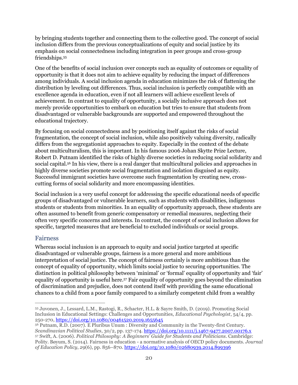by bringing students together and connecting them to the collective good. The concept of social inclusion differs from the previous conceptualizations of equity and social justice by its emphasis on social connectedness including integration in peer groups and cross-group friendships.<sup>55</sup>

One of the benefits of social inclusion over concepts such as equality of outcomes or equality of opportunity is that it does not aim to achieve equality by reducing the impact of differences among individuals. A social inclusion agenda in education minimizes the risk of flattening the distribution by leveling out differences. Thus, social inclusion is perfectly compatible with an excellence agenda in education, even if not all learners will achieve excellent levels of achievement. In contrast to equality of opportunity, a socially inclusive approach does not merely provide opportunities to embark on education but tries to ensure that students from disadvantaged or vulnerable backgrounds are supported and empowered throughout the educational trajectory.

By focusing on social connectedness and by positioning itself against the risks of social fragmentation, the concept of social inclusion, while also positively valuing diversity, radically differs from the segregationist approaches to equity. Especially in the context of the debate about multiculturalism, this is important. In his famous 2006 Johan Skytte Prize Lecture, Robert D. Putnam identified the risks of highly diverse societies in reducing social solidarity and social capital.<sup>56</sup> In his view, there is a real danger that multicultural policies and approaches in highly diverse societies promote social fragmentation and isolation disguised as equity. Successful immigrant societies have overcome such fragmentation by creating new, crosscutting forms of social solidarity and more encompassing identities.

Social inclusion is a very useful concept for addressing the specific educational needs of specific groups of disadvantaged or vulnerable learners, such as students with disabilities, indigenous students or students from minorities. In an equality of opportunity approach, these students are often assumed to benefit from generic compensatory or remedial measures, neglecting their often very specific concerns and interests. In contrast, the concept of social inclusion allows for specific, targeted measures that are beneficial to excluded individuals or social groups.

#### <span id="page-20-0"></span>Fairness

Whereas social inclusion is an approach to equity and social justice targeted at specific disadvantaged or vulnerable groups, fairness is a more general and more ambitious interpretation of social justice. The concept of fairness certainly is more ambitious than the concept of equality of opportunity, which limits social justice to securing opportunities. The distinction in political philosophy between 'minimal' or 'formal' equality of opportunity and 'fair' equality of opportunity is useful here.<sup>57</sup> Fair equality of opportunity goes beyond the elimination of discrimination and prejudice, does not contend itself with providing the same educational chances to a child from a poor family compared to a similarly competent child from a wealthy

<sup>55</sup> Juvonen, J., Lessard, L.M., Rastogi, R., Schacter, H.L. & Sayre Smith, D. (2019). Promoting Social Inclusion in Educational Settings: Challenges and Opportunities, *Educational Psychologist*, 54/4, pp. 250-270[, https://doi.org/10.1080/00461520.2019.1655645](https://doi.org/10.1080/00461520.2019.1655645)

<sup>56</sup> Putnam, R.D. (2007). E Pluribus Unum : Diversity and Community in the Twenty-first Century*. Scandinavian Political Studies*, 30/2, pp. 137-174. <https://doi.org/10.1111/j.1467-9477.2007.00176.x> <sup>57</sup> Swift, A. (2006). *Political Philosophy: A Beginners' Guide for Students and Politicians*. Cambridge: Polity. Bøyum, S. (2014). Fairness in education - a normative analysis of OECD policy documents. *Journal of Education Policy*, *29*(6), pp. 856–870[. https://doi.org/10.1080/02680939.2014.899396](https://doi.org/10.1080/02680939.2014.899396)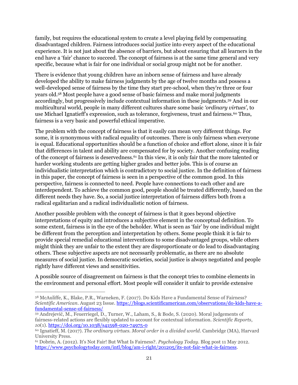family, but requires the educational system to create a level playing field by compensating disadvantaged children. Fairness introduces social justice into every aspect of the educational experience. It is not just about the absence of barriers, but about ensuring that all learners in the end have a 'fair' chance to succeed. The concept of fairness is at the same time general and very specific, because what is fair for one individual or social group might not be for another.

There is evidence that young children have an inborn sense of fairness and have already developed the ability to make fairness judgments by the age of twelve months and possess a well-developed sense of fairness by the time they start pre-school, when they're three or four years old.<sup>58</sup> Most people have a good sense of basic fairness and make moral judgments accordingly, but progressively include contextual information in these judgments.<sup>59</sup> And in our multicultural world, people in many different cultures share some basic *'ordinary virtues'*, to use Michael Ignatieff's expression, such as tolerance, forgiveness, trust and fairness.<sup>60</sup> Thus, fairness is a very basic and powerful ethical imperative.

The problem with the concept of fairness is that it easily can mean very different things. For some, it is synonymous with radical equality of outcomes. There is only fairness when everyone is equal. Educational opportunities should be a function of choice and effort alone, since it is fair that differences in talent and ability are compensated for by society. Another confusing reading of the concept of fairness is deservedness.<sup>61</sup> In this view, it is only fair that the more talented or harder working students are getting higher grades and better jobs. This is of course an individualistic interpretation which is contradictory to social justice. In the definition of fairness in this paper, the concept of fairness is seen in a perspective of the common good. In this perspective, fairness is connected to need. People have connections to each other and are interdependent. To achieve the common good, people should be treated differently, based on the different needs they have. So, a social justice interpretation of fairness differs both from a radical egalitarian and a radical individualistic notion of fairness.

Another possible problem with the concept of fairness is that it goes beyond objective interpretations of equity and introduces a subjective element in the conceptual definition. To some extent, fairness is in the eye of the beholder. What is seen as 'fair' by one individual might be different from the perception and interpretation by others. Some people think it is fair to provide special remedial educational interventions to some disadvantaged groups, while others might think they are unfair to the extent they are disproportionate or do lead to disadvantaging others. These subjective aspects are not necessarily problematic, as there are no absolute measures of social justice. In democratic societies, social justice is always negotiated and people rightly have different views and sensitivities.

A possible source of disagreement on fairness is that the concept tries to combine elements in the environment and personal effort. Most people will consider it unfair to provide extensive

<sup>58</sup> McAuliffe, K., Blake, P.R., Warneken, F. (2017). Do Kids Have a Fundamental Sense of Fairness? *Scientific American*. August 23 Issue[. https://blogs.scientificamerican.com/observations/do-kids-have-a](https://blogs.scientificamerican.com/observations/do-kids-have-a-fundamental-sense-of-fairness/)[fundamental-sense-of-fairness/](https://blogs.scientificamerican.com/observations/do-kids-have-a-fundamental-sense-of-fairness/)

<sup>59</sup> Andrejević, M., Feuerriegel, D., Turner, W., Laham, S., & Bode, S. (2020). Moral judgements of fairness-related actions are flexibly updated to account for contextual information. *Scientific Reports*, *10*(1).<https://doi.org/10.1038/s41598-020-74975-0>

<sup>60</sup> Ignatieff, M. (2017). *The ordinary virtues. Moral order in a divided world*. Cambridge (MA), Harvard University Press.

<sup>61</sup> Dobrin, A. (2012). It's Not Fair! But What Is Fairness?. *Psychology Today*. Blog post 11 May 2012. [https://www.psychologytoday.com/intl/blog/am-i-right/201205/its-not-fair-what-is-fairness.](https://www.psychologytoday.com/intl/blog/am-i-right/201205/its-not-fair-what-is-fairness)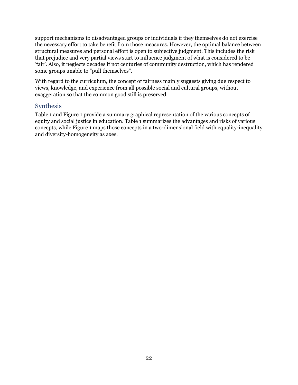support mechanisms to disadvantaged groups or individuals if they themselves do not exercise the necessary effort to take benefit from those measures. However, the optimal balance between structural measures and personal effort is open to subjective judgment. This includes the risk that prejudice and very partial views start to influence judgment of what is considered to be 'fair'. Also, it neglects decades if not centuries of community destruction, which has rendered some groups unable to "pull themselves".

With regard to the curriculum, the concept of fairness mainly suggests giving due respect to views, knowledge, and experience from all possible social and cultural groups, without exaggeration so that the common good still is preserved.

#### <span id="page-22-0"></span>Synthesis

[Table 1](#page-23-0) and [Figure 1](#page-25-1) provide a summary graphical representation of the various concepts of equity and social justice in education. [Table 1](#page-23-0) summarizes the advantages and risks of various concepts, while [Figure 1](#page-25-1) maps those concepts in a two-dimensional field with equality-inequality and diversity-homogeneity as axes.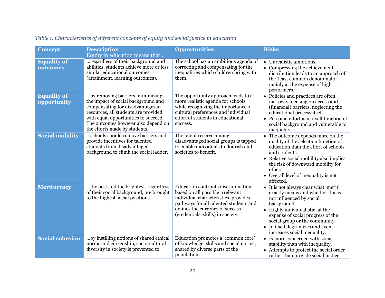<span id="page-23-0"></span>

| <b>Concept</b>                    | <b>Description</b>                                                                                                                                                                                                                                                   | <b>Opportunities</b>                                                                                                                                                                                                             | <b>Risks</b>                                                                                                                                                                                                                                                                                          |
|-----------------------------------|----------------------------------------------------------------------------------------------------------------------------------------------------------------------------------------------------------------------------------------------------------------------|----------------------------------------------------------------------------------------------------------------------------------------------------------------------------------------------------------------------------------|-------------------------------------------------------------------------------------------------------------------------------------------------------------------------------------------------------------------------------------------------------------------------------------------------------|
|                                   | Equity in education means that                                                                                                                                                                                                                                       |                                                                                                                                                                                                                                  |                                                                                                                                                                                                                                                                                                       |
| <b>Equality of</b><br>outcomes    | regardless of their background and<br>abilities, students achieve more or less<br>similar educational outcomes<br>(attainment, learning outcomes).                                                                                                                   | The school has an ambitious agenda of<br>correcting and compensating for the<br>inequalities which children bring with<br>them.                                                                                                  | • Unrealistic ambitions.<br>• Compressing the achievement<br>distribution leads to an approach of<br>the 'least common denominator',<br>mainly at the expense of high<br>performers.                                                                                                                  |
| <b>Equality of</b><br>opportunity | by removing barriers, minimizing<br>the impact of social background and<br>compensating for disadvantages in<br>resources, all students are provided<br>with equal opportunities to succeed.<br>The outcomes however also depend on<br>the efforts made by students. | The opportunity approach leads to a<br>more realistic agenda for schools,<br>while recognizing the importance of<br>cultural preferences and individual<br>effort of students in educational<br>success.                         | • Policies and practices are often<br>narrowly focusing on access and<br>(financial) barriers, neglecting the<br>educational process itself.<br>• Personal effort is in itself function of<br>social background and vulnerable to<br>inequality.                                                      |
| <b>Social mobility</b>            | schools should remove barriers and<br>provide incentives for talented<br>students from disadvantaged<br>background to climb the social ladder.                                                                                                                       | The talent reserve among<br>disadvantaged social groups is tapped<br>to enable individuals to flourish and<br>societies to benefit.                                                                                              | • The outcome depends more on the<br>quality of the selection function of<br>education than the effort of schools<br>and students.<br>• Relative social mobility also implies<br>the risk of downward mobility for<br>others.<br>• Overall level of inequality is not<br>affected.                    |
| Meritocracy                       | the best and the brightest, regardless<br>of their social background, are brought<br>to the highest social positions.                                                                                                                                                | Education confronts discrimination<br>based on all possible irrelevant<br>individual characteristics, provides<br>pathways for all talented students and<br>defines the currency of success<br>(credentials, skills) in society. | • It is not always clear what 'merit'<br>exactly means and whether this is<br>not influenced by social<br>background.<br>• Highly individualistic, at the<br>expense of social progress of the<br>social group or the community.<br>• In itself, legitimizes and even<br>increases social inequality. |
| <b>Social cohesion</b>            | by instilling notions of shared ethical<br>norms and citizenship, socio-cultural<br>diversity in society is prevented to                                                                                                                                             | Education promotes a 'common core'<br>of knowledge, skills and social norms,<br>shared by diverse parts of the<br>population.                                                                                                    | • Is more concerned with social<br>stability than with inequality.<br>• Attempts to protect the social order<br>rather than provide social justice.                                                                                                                                                   |

# *Table 1. Characteristics of different concepts of equity and social justice in education*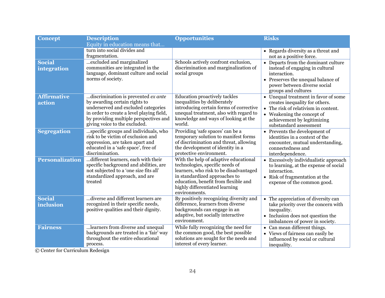| <b>Concept</b>               | <b>Description</b>                                                                                                                                                                                                                  | <b>Opportunities</b>                                                                                                                                                                                                                           | <b>Risks</b>                                                                                                                                                                                          |
|------------------------------|-------------------------------------------------------------------------------------------------------------------------------------------------------------------------------------------------------------------------------------|------------------------------------------------------------------------------------------------------------------------------------------------------------------------------------------------------------------------------------------------|-------------------------------------------------------------------------------------------------------------------------------------------------------------------------------------------------------|
|                              | Equity in education means that                                                                                                                                                                                                      |                                                                                                                                                                                                                                                |                                                                                                                                                                                                       |
|                              | turn into social divides and<br>fragmentation.                                                                                                                                                                                      |                                                                                                                                                                                                                                                | • Regards diversity as a threat and<br>not as a positive force.                                                                                                                                       |
| <b>Social</b><br>integration | excluded and marginalized<br>communities are integrated in the<br>language, dominant culture and social<br>norms of society.                                                                                                        | Schools actively confront exclusion,<br>discrimination and marginalization of<br>social groups                                                                                                                                                 | • Departs from the dominant culture<br>instead of engaging in cultural<br>interaction.<br>• Preserves the unequal balance of<br>power between diverse social<br>groups and cultures                   |
| <b>Affirmative</b><br>action | discrimination is prevented ex ante<br>by awarding certain rights to<br>underserved and excluded categories<br>in order to create a level playing field,<br>by providing multiple perspectives and<br>giving voice to the excluded. | Education proactively tackles<br>inequalities by deliberately<br>introducing certain forms of corrective<br>unequal treatment, also with regard to<br>knowledge and ways of looking at the<br>world.                                           | • Unequal treatment in favor of some<br>creates inequality for others.<br>• The risk of relativism in content.<br>• Weakening the concept of<br>achievement by legitimizing<br>substandard assessment |
| <b>Segregation</b>           | specific groups and individuals, who<br>risk to be victim of exclusion and<br>oppression, are taken apart and<br>educated in a 'safe space', free of<br>discrimination.                                                             | Providing 'safe spaces' can be a<br>temporary solution to manifest forms<br>of discrimination and threat, allowing<br>the development of identity in a<br>protective environment.                                                              | • Prevents the development of<br>identities in a context of the<br>encounter, mutual understanding,<br>connectedness and<br>interdependence.                                                          |
| <b>Personalization</b>       | different learners, each with their<br>specific background and abilities, are<br>not subjected to a 'one size fits all'<br>standardized approach, and are<br>treated                                                                | With the help of adaptive educational<br>technologies, specific needs of<br>learners, who risk to be disadvantaged<br>in standardized approaches to<br>education, benefit from flexible and<br>highly differentiated learning<br>environments. | • Excessively individualistic approach<br>to learning, at the expense of social<br>interaction.<br>• Risk of fragmentation at the<br>expense of the common good.                                      |
| <b>Social</b><br>inclusion   | diverse and different learners are<br>recognized in their specific needs,<br>positive qualities and their dignity.                                                                                                                  | By positively recognizing diversity and<br>difference, learners from diverse<br>backgrounds can engage in an<br>adaptive, but socially interactive<br>environment.                                                                             | • The appreciation of diversity can<br>take priority over the concern with<br>inequality.<br>• Inclusion does not question the<br>imbalances of power in society.                                     |
| <b>Fairness</b>              | learners from diverse and unequal<br>backgrounds are treated in a 'fair' way<br>throughout the entire educational<br>process.                                                                                                       | While fully recognizing the need for<br>the common good, the best possible<br>solutions are sought for the needs and<br>interest of every learner.                                                                                             | • Can mean different things.<br>• Views of fairness can easily be<br>influenced by social or cultural<br>inequality.                                                                                  |

© Center for Curriculum Redesign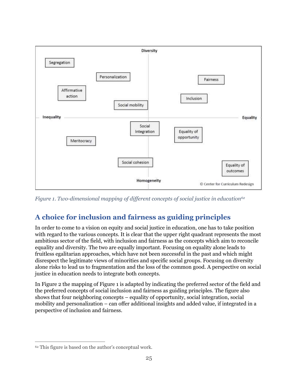

<span id="page-25-1"></span>*Figure 1. Two-dimensional mapping of different concepts of social justice in education<sup>62</sup>*

# <span id="page-25-0"></span>**A choice for inclusion and fairness as guiding principles**

In order to come to a vision on equity and social justice in education, one has to take position with regard to the various concepts. It is clear that the upper right quadrant represents the most ambitious sector of the field, with inclusion and fairness as the concepts which aim to reconcile equality and diversity. The two are equally important. Focusing on equality alone leads to fruitless egalitarian approaches, which have not been successful in the past and which might disrespect the legitimate views of minorities and specific social groups. Focusing on diversity alone risks to lead us to fragmentation and the loss of the common good. A perspective on social justice in education needs to integrate both concepts.

In [Figure 2](#page-26-2) the mapping of [Figure 1](#page-25-1) is adapted by indicating the preferred sector of the field and the preferred concepts of social inclusion and fairness as guiding principles. The figure also shows that four neighboring concepts – equality of opportunity, social integration, social mobility and personalization – can offer additional insights and added value, if integrated in a perspective of inclusion and fairness.

<sup>62</sup> This figure is based on the author's conceptual work.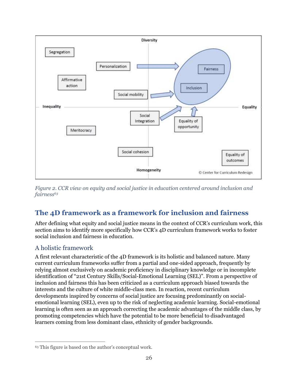

<span id="page-26-2"></span>*Figure 2. CCR view on equity and social justice in education centered around inclusion and fairness<sup>63</sup>*

# <span id="page-26-0"></span>**The 4D framework as a framework for inclusion and fairness**

After defining what equity and social justice means in the context of CCR's curriculum work, this section aims to identify more specifically how CCR's 4D curriculum framework works to foster social inclusion and fairness in education.

## <span id="page-26-1"></span>A holistic framework

A first relevant characteristic of the 4D framework is its holistic and balanced nature. Many current curriculum frameworks suffer from a partial and one-sided approach, frequently by relying almost exclusively on academic proficiency in disciplinary knowledge or in incomplete identification of "21st Century Skills/Social-Emotional Learning (SEL)". From a perspective of inclusion and fairness this has been criticized as a curriculum approach biased towards the interests and the culture of white middle-class men. In reaction, recent curriculum developments inspired by concerns of social justice are focusing predominantly on socialemotional learning (SEL), even up to the risk of neglecting academic learning. Social-emotional learning is often seen as an approach correcting the academic advantages of the middle class, by promoting competencies which have the potential to be more beneficial to disadvantaged learners coming from less dominant class, ethnicity of gender backgrounds.

<sup>63</sup> This figure is based on the author's conceptual work.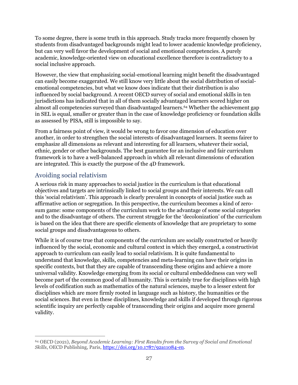To some degree, there is some truth in this approach. Study tracks more frequently chosen by students from disadvantaged backgrounds might lead to lower academic knowledge proficiency, but can very well favor the development of social and emotional competencies. A purely academic, knowledge-oriented view on educational excellence therefore is contradictory to a social inclusive approach.

However, the view that emphasizing social-emotional learning might benefit the disadvantaged can easily become exaggerated. We still know very little about the social distribution of socialemotional competencies, but what we know does indicate that their distribution is also influenced by social background. A recent OECD survey of social and emotional skills in ten jurisdictions has indicated that in all of them socially advantaged learners scored higher on almost all competencies surveyed than disadvantaged learners.<sup>64</sup> Whether the achievement gap in SEL is equal, smaller or greater than in the case of knowledge proficiency or foundation skills as assessed by PISA, still is impossible to say.

From a fairness point of view, it would be wrong to favor one dimension of education over another, in order to strengthen the social interests of disadvantaged learners. It seems fairer to emphasize all dimensions as relevant and interesting for all learners, whatever their social, ethnic, gender or other backgrounds. The best guarantee for an inclusive and fair curriculum framework is to have a well-balanced approach in which all relevant dimensions of education are integrated. This is exactly the purpose of the 4D framework.

### <span id="page-27-0"></span>Avoiding social relativism

A serious risk in many approaches to social justice in the curriculum is that educational objectives and targets are intrinsically linked to social groups and their interests. We can call this 'social relativism'. This approach is clearly prevalent in concepts of social justice such as affirmative action or segregation. In this perspective, the curriculum becomes a kind of zerosum game: some components of the curriculum work to the advantage of some social categories and to the disadvantage of others. The current struggle for the 'decolonization' of the curriculum is based on the idea that there are specific elements of knowledge that are proprietary to some social groups and disadvantageous to others.

While it is of course true that components of the curriculum are socially constructed or heavily influenced by the social, economic and cultural context in which they emerged, a constructivist approach to curriculum can easily lead to social relativism. It is quite fundamental to understand that knowledge, skills, competencies and meta-learning can have their origins in specific contexts, but that they are capable of transcending these origins and achieve a more universal validity. Knowledge emerging from its social or cultural embeddedness can very well become part of the common good of all humanity. This is certainly true for disciplines with high levels of codification such as mathematics of the natural sciences, maybe to a lesser extent for disciplines which are more firmly rooted in language such as history, the humanities or the social sciences. But even in these disciplines, knowledge and skills if developed through rigorous scientific inquiry are perfectly capable of transcending their origins and acquire more general validity.

<sup>64</sup> OECD (2021), *Beyond Academic Learning: First Results from the Survey of Social and Emotional Skills*, OECD Publishing, Paris, [https://doi.org/10.1787/92a11084-en.](https://doi.org/10.1787/92a11084-en)